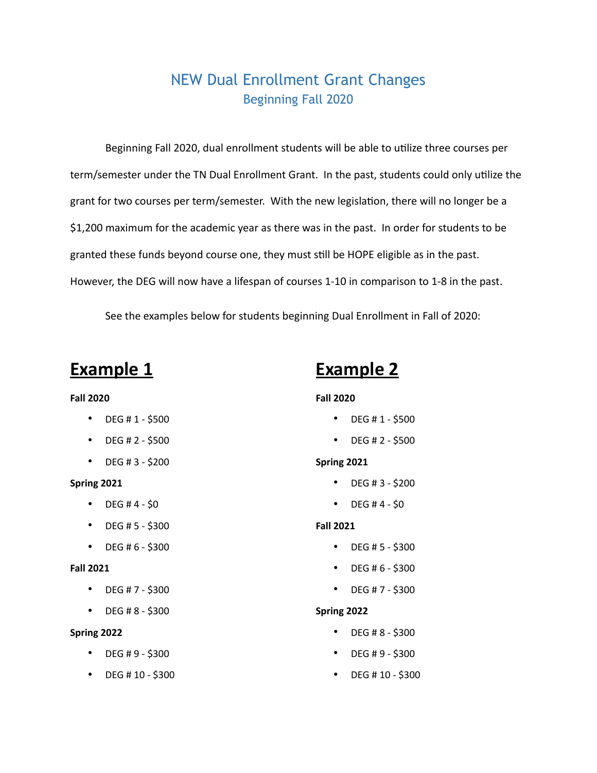# NEW Dual Enrollment Grant Changes Beginning Fall 2020

Beginning Fall 2020, dual enrollment students will be able to utilize three courses per term/semester under the TN Dual Enrollment Grant. In the past, students could only utilize the grant for two courses per term/semester. With the new legislation, there will no longer be a \$1,200 maximum for the academic year as there was in the past. In order for students to be granted these funds beyond course one, they must still be HOPE eligible as in the past. However, the DEG will now have a lifespan of courses 1-10 in comparison to 1-8 in the past.

See the examples below for students beginning Dual Enrollment in Fall of 2020:

# **Example 1**

## **Fall 2020**

- DEG # 1 \$500
- DEG #  $2 $500$
- DEG # 3 \$200

#### **Spring 2021**

- DEG #  $4 $0$
- DEG # 5 \$300
- DEG # 6 \$300

#### **Fall 2021**

- DEG #  $7 $300$
- DEG # 8 \$300

### **Spring 2022**

- DEG # 9 \$300
- DEG # 10 \$300

# **Example 2**

## **Fall 2020**

- DEG #  $1 $500$
- DEG # 2 \$500

### **Spring 2021**

- DEG # 3 \$200
- DEG #4  $$0$

# **Fall 2021**

- DEG # 5 \$300
- DEG # 6 \$300
- DEG # 7 \$300

#### **Spring 2022**

- DEG # 8 \$300
- DEG # 9 \$300
- DEG # 10 \$300